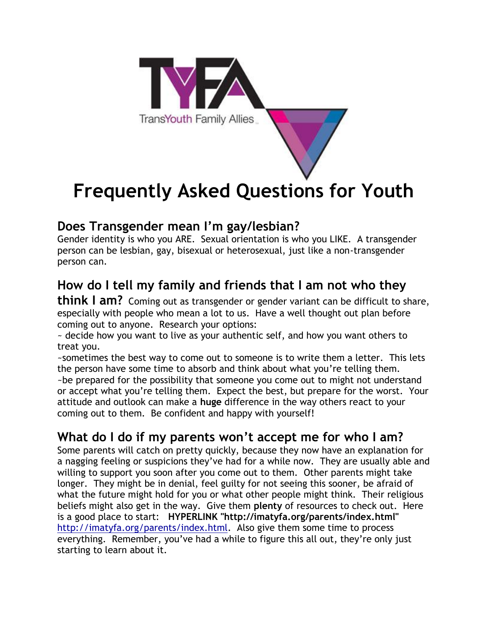

# **Frequently Asked Questions for Youth**

#### **Does Transgender mean I'm gay/lesbian?**

Gender identity is who you ARE. Sexual orientation is who you LIKE. A transgender person can be lesbian, gay, bisexual or heterosexual, just like a non-transgender person can.

# **How do I tell my family and friends that I am not who they**

**think I am?** Coming out as transgender or gender variant can be difficult to share, especially with people who mean a lot to us. Have a well thought out plan before coming out to anyone. Research your options:

~ decide how you want to live as your authentic self, and how you want others to treat you.

~sometimes the best way to come out to someone is to write them a letter. This lets the person have some time to absorb and think about what you're telling them. ~be prepared for the possibility that someone you come out to might not understand or accept what you're telling them. Expect the best, but prepare for the worst. Your attitude and outlook can make a **huge** difference in the way others react to your coming out to them. Be confident and happy with yourself!

#### **What do I do if my parents won't accept me for who I am?**

Some parents will catch on pretty quickly, because they now have an explanation for a nagging feeling or suspicions they've had for a while now. They are usually able and willing to support you soon after you come out to them. Other parents might take longer. They might be in denial, feel guilty for not seeing this sooner, be afraid of what the future might hold for you or what other people might think. Their religious beliefs might also get in the way. Give them **plenty** of resources to check out. Here is a good place to start: **HYPERLINK "http://imatyfa.org/parents/index.html"**  http://imatyfa.org/parents/index.html. Also give them some time to process everything. Remember, you've had a while to figure this all out, they're only just starting to learn about it.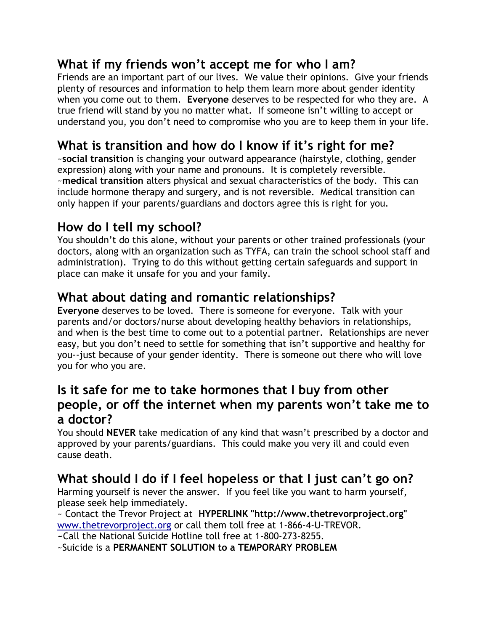#### **What if my friends won't accept me for who I am?**

Friends are an important part of our lives. We value their opinions. Give your friends plenty of resources and information to help them learn more about gender identity when you come out to them. **Everyone** deserves to be respected for who they are. A true friend will stand by you no matter what. If someone isn't willing to accept or understand you, you don't need to compromise who you are to keep them in your life.

## **What is transition and how do I know if it's right for me?**

~**social transition** is changing your outward appearance (hairstyle, clothing, gender expression) along with your name and pronouns. It is completely reversible. ~**medical transition** alters physical and sexual characteristics of the body. This can include hormone therapy and surgery, and is not reversible. Medical transition can only happen if your parents/guardians and doctors agree this is right for you.

## **How do I tell my school?**

You shouldn't do this alone, without your parents or other trained professionals (your doctors, along with an organization such as TYFA, can train the school school staff and administration). Trying to do this without getting certain safeguards and support in place can make it unsafe for you and your family.

#### **What about dating and romantic relationships?**

**Everyone** deserves to be loved. There is someone for everyone. Talk with your parents and/or doctors/nurse about developing healthy behaviors in relationships, and when is the best time to come out to a potential partner. Relationships are never easy, but you don't need to settle for something that isn't supportive and healthy for you--just because of your gender identity. There is someone out there who will love you for who you are.

#### **Is it safe for me to take hormones that I buy from other people, or off the internet when my parents won't take me to a doctor?**

You should **NEVER** take medication of any kind that wasn't prescribed by a doctor and approved by your parents/guardians. This could make you very ill and could even cause death.

## **What should I do if I feel hopeless or that I just can't go on?**

Harming yourself is never the answer. If you feel like you want to harm yourself, please seek help immediately.

~ Contact the Trevor Project at **HYPERLINK "http://www.thetrevorproject.org"**  www.thetrevorproject.org or call them toll free at 1-866-4-U-TREVOR. **~**Call the National Suicide Hotline toll free at 1-800-273-8255.

~Suicide is a **PERMANENT SOLUTION to a TEMPORARY PROBLEM**